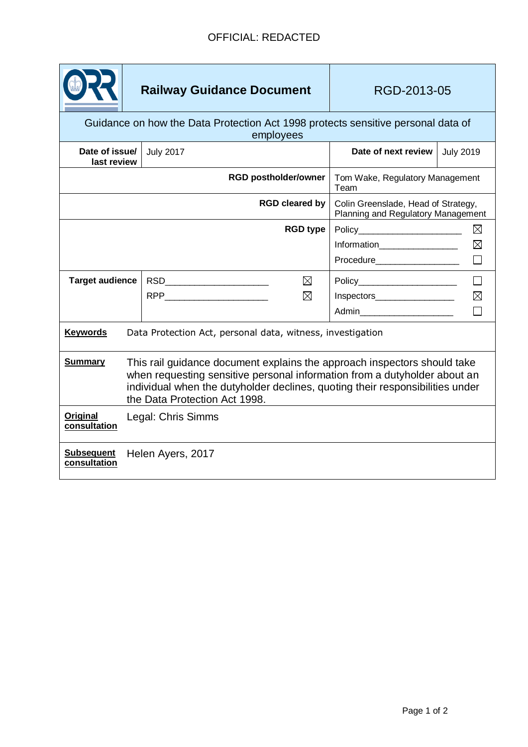|                                                                                               | <b>Railway Guidance Document</b>                                                                                                                                                                                                                                        |                              |                                         | RGD-2013-05                                                               |                  |             |
|-----------------------------------------------------------------------------------------------|-------------------------------------------------------------------------------------------------------------------------------------------------------------------------------------------------------------------------------------------------------------------------|------------------------------|-----------------------------------------|---------------------------------------------------------------------------|------------------|-------------|
| Guidance on how the Data Protection Act 1998 protects sensitive personal data of<br>employees |                                                                                                                                                                                                                                                                         |                              |                                         |                                                                           |                  |             |
| Date of issue/<br>last review                                                                 |                                                                                                                                                                                                                                                                         | <b>July 2017</b>             |                                         | Date of next review                                                       | <b>July 2019</b> |             |
|                                                                                               |                                                                                                                                                                                                                                                                         | <b>RGD postholder/owner</b>  | Tom Wake, Regulatory Management<br>Team |                                                                           |                  |             |
| <b>RGD cleared by</b>                                                                         |                                                                                                                                                                                                                                                                         |                              |                                         | Colin Greenslade, Head of Strategy,<br>Planning and Regulatory Management |                  |             |
| <b>RGD type</b>                                                                               |                                                                                                                                                                                                                                                                         |                              |                                         | $\boxtimes$<br>$Policy \_$                                                |                  |             |
|                                                                                               |                                                                                                                                                                                                                                                                         |                              |                                         | Information___________________                                            |                  | $\boxtimes$ |
|                                                                                               |                                                                                                                                                                                                                                                                         |                              |                                         | Procedure___________________                                              |                  |             |
| <b>Target audience</b>                                                                        |                                                                                                                                                                                                                                                                         | ⊠                            |                                         | Policy________________________                                            |                  |             |
|                                                                                               |                                                                                                                                                                                                                                                                         | RPP ___________________<br>⊠ |                                         | Inspectors                                                                |                  | $\boxtimes$ |
|                                                                                               |                                                                                                                                                                                                                                                                         |                              |                                         | Admin_________________________                                            |                  |             |
| <b>Keywords</b><br>Data Protection Act, personal data, witness, investigation                 |                                                                                                                                                                                                                                                                         |                              |                                         |                                                                           |                  |             |
| <b>Summary</b>                                                                                | This rail guidance document explains the approach inspectors should take<br>when requesting sensitive personal information from a dutyholder about an<br>individual when the dutyholder declines, quoting their responsibilities under<br>the Data Protection Act 1998. |                              |                                         |                                                                           |                  |             |
| <b>Original</b><br>consultation                                                               | Legal: Chris Simms                                                                                                                                                                                                                                                      |                              |                                         |                                                                           |                  |             |
| <b>Subsequent</b><br>consultation                                                             | Helen Ayers, 2017                                                                                                                                                                                                                                                       |                              |                                         |                                                                           |                  |             |